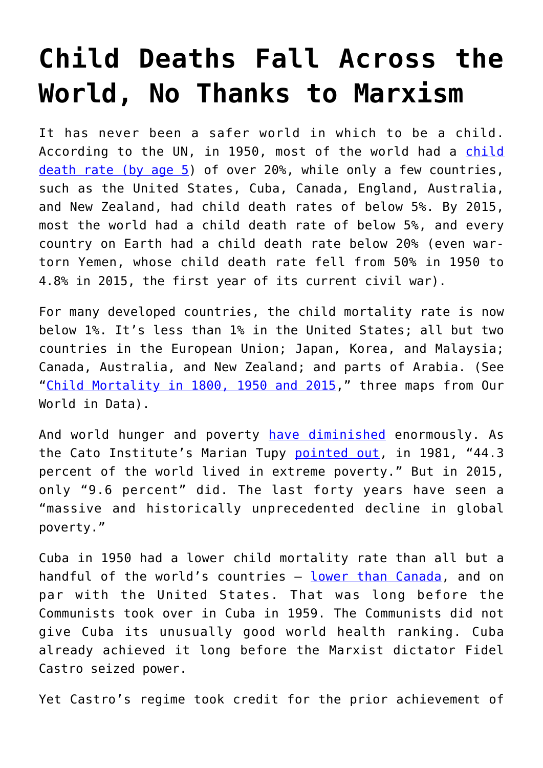## **[Child Deaths Fall Across the](https://intellectualtakeout.org/2019/02/child-deaths-fall-across-the-world-no-thanks-to-marxism/) [World, No Thanks to Marxism](https://intellectualtakeout.org/2019/02/child-deaths-fall-across-the-world-no-thanks-to-marxism/)**

It has never been a safer world in which to be a child. According to the UN, in 1950, most of the world had a [child](https://ourworldindata.org/uploads/2018/10/3-Maps-of-Child-mortality.png) [death rate \(by age 5](https://ourworldindata.org/uploads/2018/10/3-Maps-of-Child-mortality.png)) of over 20%, while only a few countries, such as the United States, Cuba, Canada, England, Australia, and New Zealand, had child death rates of below 5%. By 2015, most the world had a child death rate of below 5%, and every country on Earth had a child death rate below 20% (even wartorn Yemen, whose child death rate fell from 50% in 1950 to 4.8% in 2015, the first year of its current civil war).

For many developed countries, the child mortality rate is now below 1%. It's less than 1% in the United States; all but two countries in the European Union; Japan, Korea, and Malaysia; Canada, Australia, and New Zealand; and parts of Arabia. (See "[Child Mortality in 1800, 1950 and 2015,](https://ourworldindata.org/uploads/2018/10/3-Maps-of-Child-mortality.png)" three maps from Our World in Data).

And world hunger and poverty [have diminished](https://humanprogress.org/article.php?p=462) enormously. As the Cato Institute's Marian Tupy [pointed out](https://humanprogress.org/article.php?p=462), in 1981, "44.3 percent of the world lived in extreme poverty." But in 2015, only "9.6 percent" did. The last forty years have seen a "massive and historically unprecedented decline in global poverty."

Cuba in 1950 had a lower child mortality rate than all but a handful of the world's countries — [lower than Canada,](https://ourworldindata.org/uploads/2018/10/3-Maps-of-Child-mortality.png) and on par with the United States. That was long before the Communists took over in Cuba in 1959. The Communists did not give Cuba its unusually good world health ranking. Cuba already achieved it long before the Marxist dictator Fidel Castro seized power.

Yet Castro's regime took credit for the prior achievement of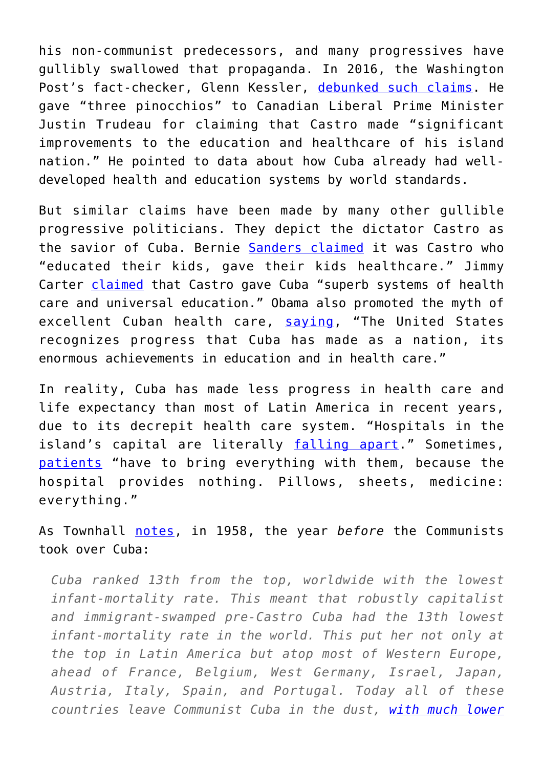his non-communist predecessors, and many progressives have gullibly swallowed that propaganda. In 2016, the Washington Post's fact-checker, Glenn Kessler, [debunked such claims](https://www.washingtonpost.com/news/fact-checker/wp/2016/12/01/justin-trudeaus-claim-that-castro-made-significant-improvements-to-cuban-health-care-and-education/). He gave "three pinocchios" to Canadian Liberal Prime Minister Justin Trudeau for claiming that Castro made "significant improvements to the education and healthcare of his island nation." He pointed to data about how Cuba already had welldeveloped health and education systems by world standards.

But similar claims have been made by many other gullible progressive politicians. They depict the dictator Castro as the savior of Cuba. Bernie [Sanders claimed](https://townhall.com/columnists/humbertofontova/2018/07/28/alexandria-ocasiocortezs-mentor-bernie-sanders-castro-educated-cuban-kids-gave-them-healthcare-n2504435) it was Castro who "educated their kids, gave their kids healthcare." Jimmy Carter [claimed](https://townhall.com/columnists/humbertofontova/2018/07/28/alexandria-ocasiocortezs-mentor-bernie-sanders-castro-educated-cuban-kids-gave-them-healthcare-n2504435) that Castro gave Cuba "superb systems of health care and universal education." Obama also promoted the myth of excellent Cuban health care, [saying](https://www.whitehouse.gov/the-press-office/2016/03/21/remarks-president-obama-and-president-raul-castro-cuba-joint-press%20), "The United States recognizes progress that Cuba has made as a nation, its enormous achievements in education and in health care."

In reality, Cuba has made less progress in health care and life expectancy than most of Latin America in recent years, due to its decrepit health care system. "Hospitals in the island's capital are literally [falling apart.](http://www.martinoticias.com/content/el-horror-de-parir-en-la-habana/34214.html)" Sometimes, [patients](https://panampost.com/belen-marty/2015/10/06/inside-the-cuban-hospitals-that-castro-doesnt-want-tourists-to-see/) "have to bring everything with them, because the hospital provides nothing. Pillows, sheets, medicine: everything."

As Townhall [notes](https://townhall.com/columnists/humbertofontova/2018/07/28/alexandria-ocasiocortezs-mentor-bernie-sanders-castro-educated-cuban-kids-gave-them-healthcare-n2504435), in 1958, the year *before* the Communists took over Cuba:

*Cuba ranked 13th from the top, worldwide with the lowest infant-mortality rate. This meant that robustly capitalist and immigrant-swamped pre-Castro Cuba had the 13th lowest infant-mortality rate in the world. This put her not only at the top in Latin America but atop most of Western Europe, ahead of France, Belgium, West Germany, Israel, Japan, Austria, Italy, Spain, and Portugal. Today all of these countries leave Communist Cuba in the dust, [with much lower](https://www.amazon.com/Longest-Romance-Mainstream-Media-Castro/dp/1594036675/ref=sr_1_1?s=books&ie=UTF8&qid=1376276049&sr=1-1&keywords=the+longest+romance+humberto+fontova)*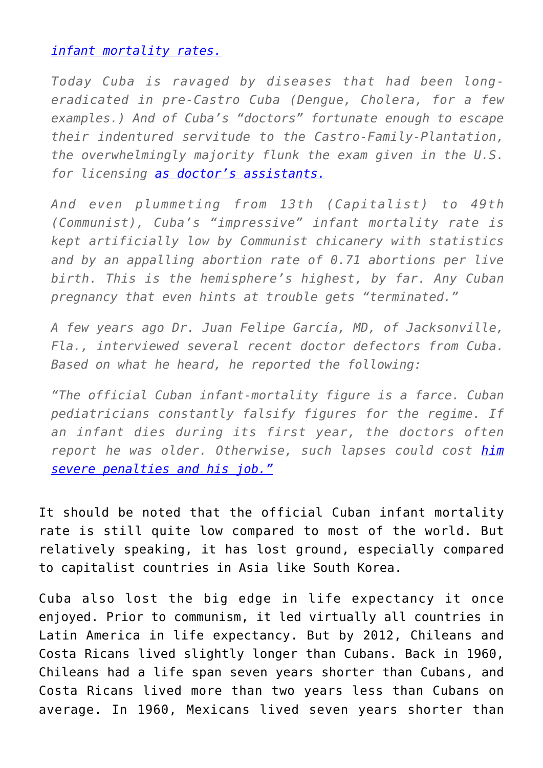## *[infant mortality rates.](https://www.amazon.com/Longest-Romance-Mainstream-Media-Castro/dp/1594036675/ref=sr_1_1?s=books&ie=UTF8&qid=1376276049&sr=1-1&keywords=the+longest+romance+humberto+fontova)*

*Today Cuba is ravaged by diseases that had been longeradicated in pre-Castro Cuba (Dengue, Cholera, for a few examples.) And of Cuba's "doctors" fortunate enough to escape their indentured servitude to the Castro-Family-Plantation, the overwhelmingly majority flunk the exam given in the U.S. for licensing [as doctor's assistants.](https://www.amazon.com/Longest-Romance-Mainstream-Media-Castro/dp/1594036675?ie=UTF8&keywords=the%20longest%20romance%20humberto%20fontova&qid=1376276049&ref_=sr_1_1&s=books&sr=1-1)*

*And even plummeting from 13th (Capitalist) to 49th (Communist), Cuba's "impressive" infant mortality rate is kept artificially low by Communist chicanery with statistics and by an appalling abortion rate of 0.71 abortions per live birth. This is the hemisphere's highest, by far. Any Cuban pregnancy that even hints at trouble gets "terminated."*

*A few years ago Dr. Juan Felipe García, MD, of Jacksonville, Fla., interviewed several recent doctor defectors from Cuba. Based on what he heard, he reported the following:*

*"The official Cuban infant-mortality figure is a farce. Cuban pediatricians constantly falsify figures for the regime. If an infant dies during its first year, the doctors often report he was older. Otherwise, such lapses could cost [him](https://www.amazon.com/Longest-Romance-Mainstream-Media-Castro/dp/1594036675/ref=sr_1_1?s=books&ie=UTF8&qid=1376276049&sr=1-1&keywords=the+longest+romance+humberto+fontova) [severe penalties and his job."](https://www.amazon.com/Longest-Romance-Mainstream-Media-Castro/dp/1594036675/ref=sr_1_1?s=books&ie=UTF8&qid=1376276049&sr=1-1&keywords=the+longest+romance+humberto+fontova)*

It should be noted that the official Cuban infant mortality rate is still quite low compared to most of the world. But relatively speaking, it has lost ground, especially compared to capitalist countries in Asia like South Korea.

Cuba also lost the big edge in life expectancy it once enjoyed. Prior to communism, it led virtually all countries in Latin America in life expectancy. But by 2012, Chileans and Costa Ricans lived slightly longer than Cubans. Back in 1960, Chileans had a life span seven years shorter than Cubans, and Costa Ricans lived more than two years less than Cubans on average. In 1960, Mexicans lived seven years shorter than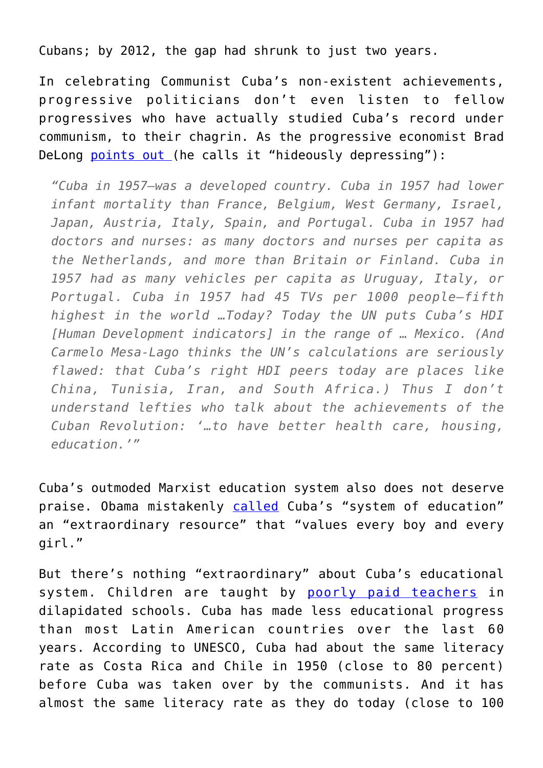Cubans; by 2012, the gap had shrunk to just two years.

In celebrating Communist Cuba's non-existent achievements, progressive politicians don't even listen to fellow progressives who have actually studied Cuba's record under communism, to their chagrin. As the progressive economist Brad DeLong [points out \(](http://delong.typepad.com/sdj/2008/02/lets-get-even-m.html)he calls it "hideously depressing"):

*"Cuba in 1957—was a developed country. Cuba in 1957 had lower infant mortality than France, Belgium, West Germany, Israel, Japan, Austria, Italy, Spain, and Portugal. Cuba in 1957 had doctors and nurses: as many doctors and nurses per capita as the Netherlands, and more than Britain or Finland. Cuba in 1957 had as many vehicles per capita as Uruguay, Italy, or Portugal. Cuba in 1957 had 45 TVs per 1000 people—fifth highest in the world …Today? Today the UN puts Cuba's HDI [Human Development indicators] in the range of … Mexico. (And Carmelo Mesa-Lago thinks the UN's calculations are seriously flawed: that Cuba's right HDI peers today are places like China, Tunisia, Iran, and South Africa.) Thus I don't understand lefties who talk about the achievements of the Cuban Revolution: '…to have better health care, housing, education.'"*

Cuba's outmoded Marxist education system also does not deserve praise. Obama mistakenly [called](https://www.whitehouse.gov/the-press-office/2016/03/22/remarks-president-obama-people-cuba) Cuba's "system of education" an "extraordinary resource" that "values every boy and every girl."

But there's nothing "extraordinary" about Cuba's educational system. Children are taught by [poorly paid teachers](http://www.havanatimes.org/?p=80900) in dilapidated schools. Cuba has made less educational progress than most Latin American countries over the last 60 years. According to UNESCO, Cuba had about the same literacy rate as Costa Rica and Chile in 1950 (close to 80 percent) before Cuba was taken over by the communists. And it has almost the same literacy rate as they do today (close to 100